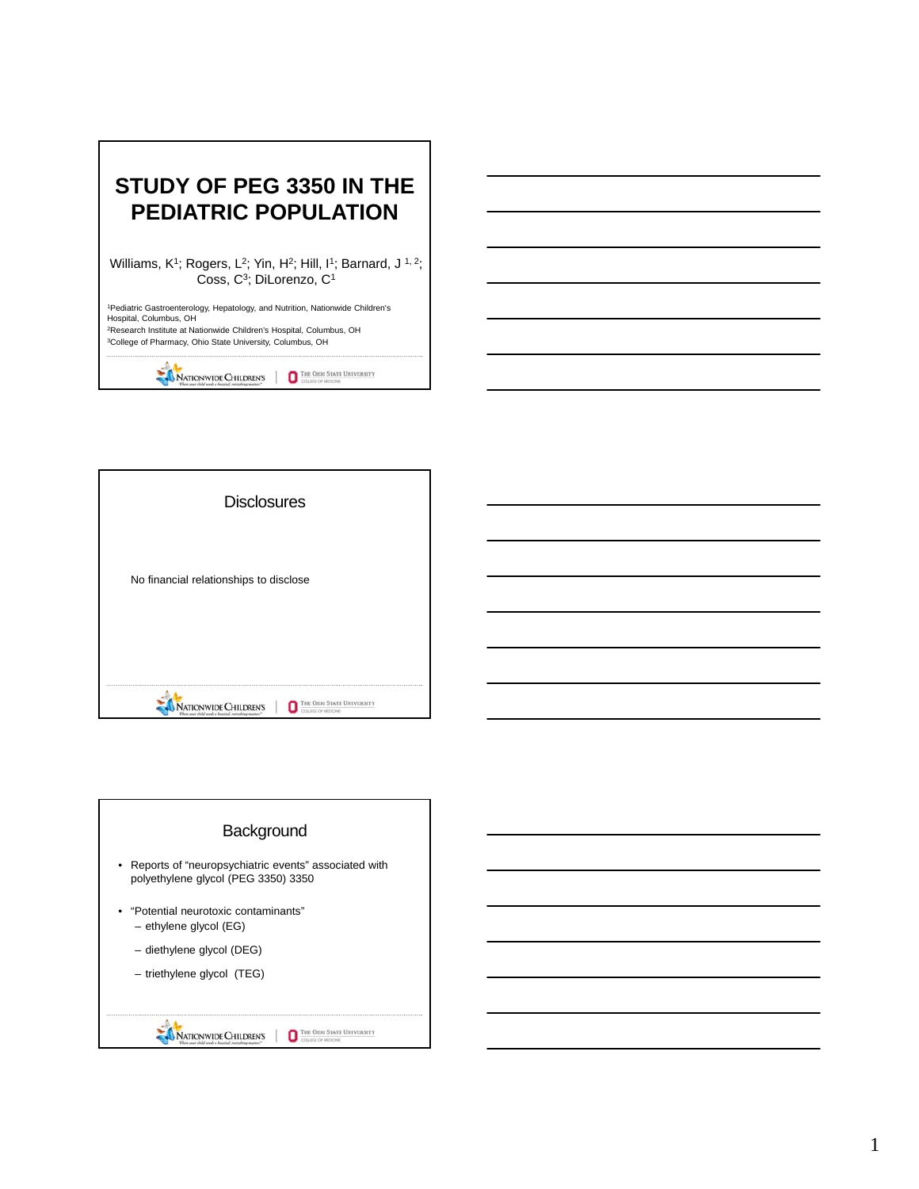

| <b>Disclosures</b>                     |
|----------------------------------------|
| No financial relationships to disclose |
|                                        |
| гик Оню<br><b>ATIONWIDE CHILDREN'S</b> |

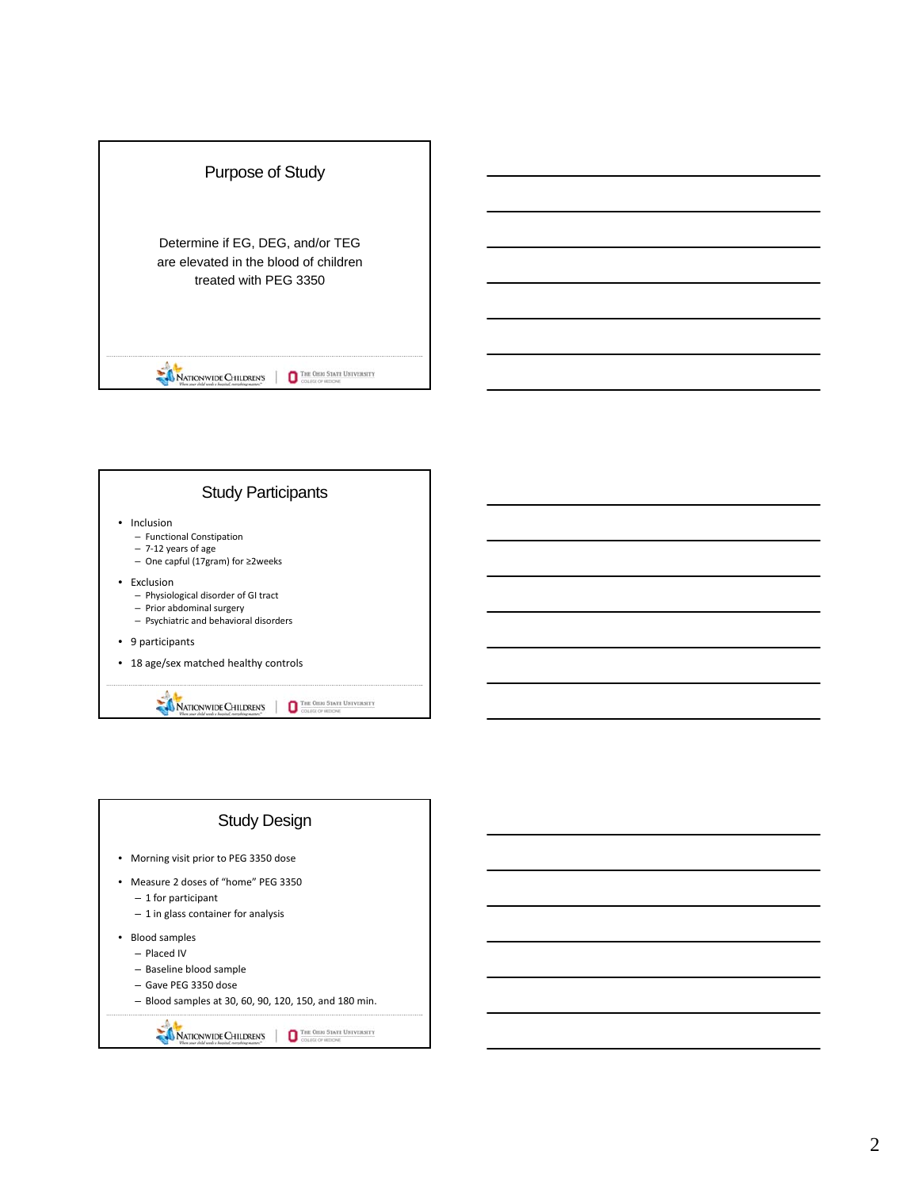



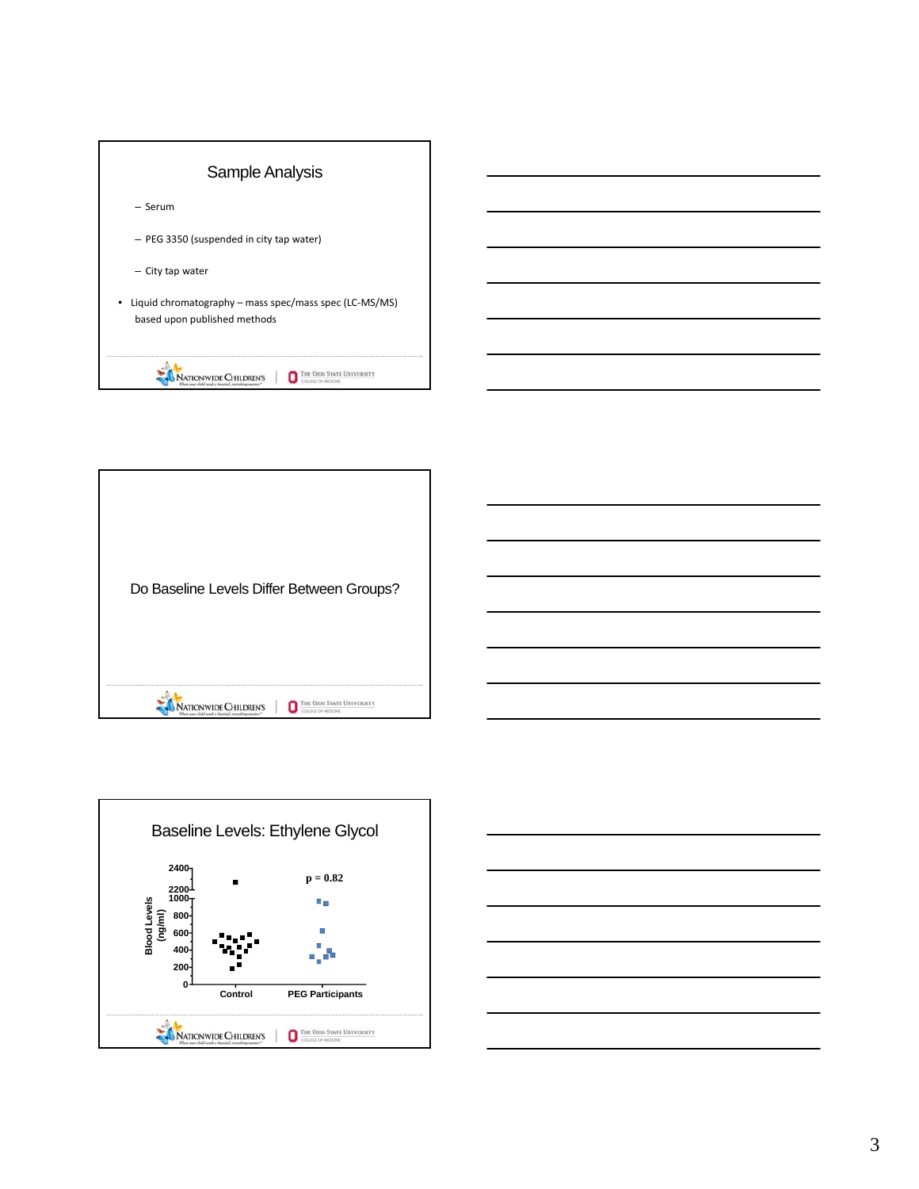







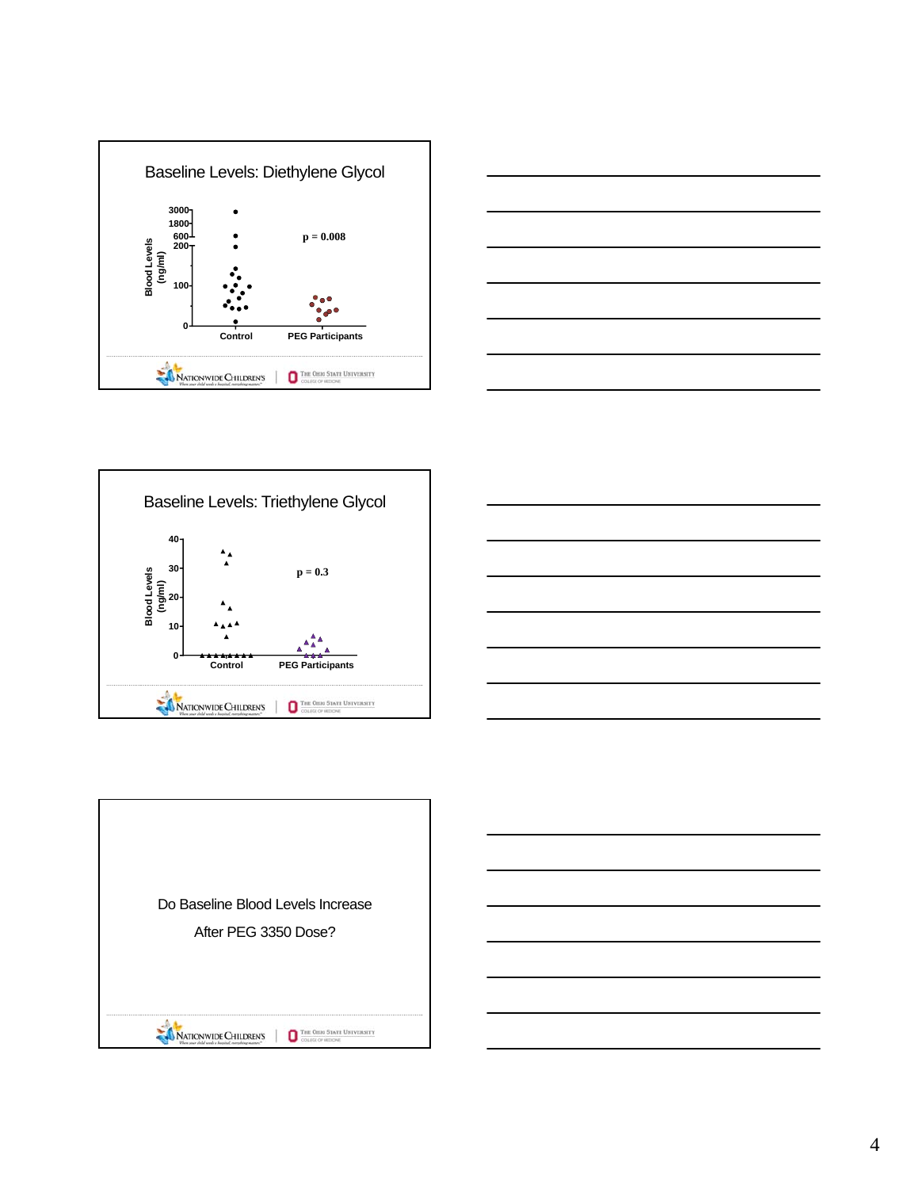







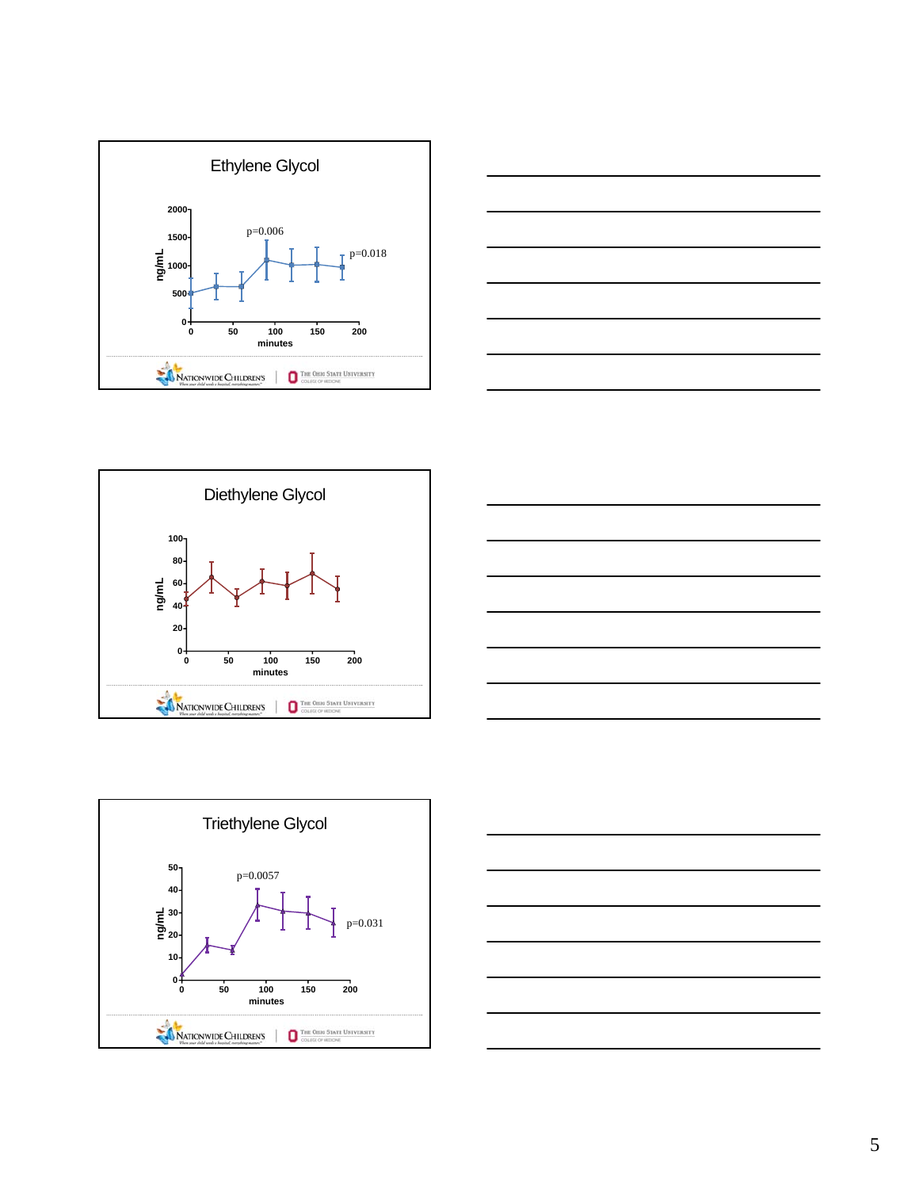









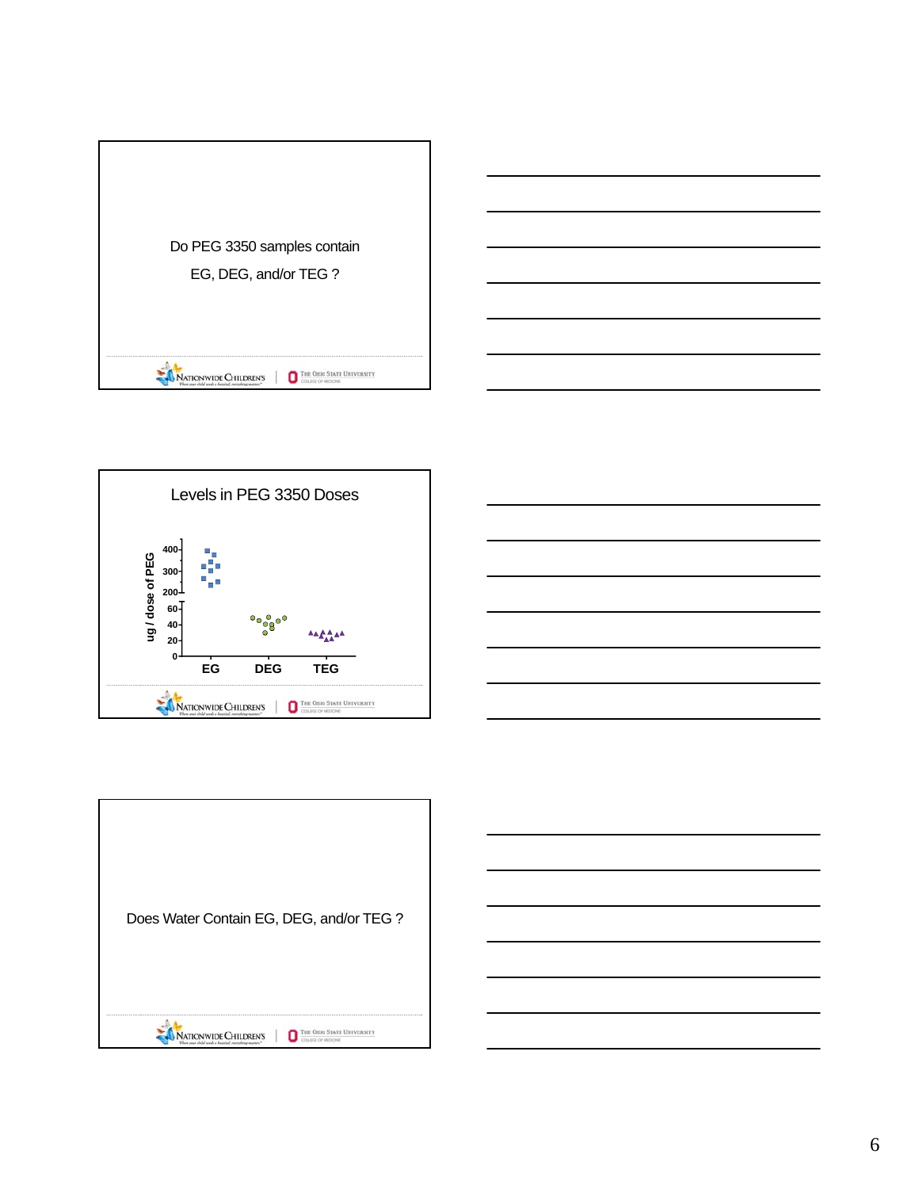





| Does Water Contain EG, DEG, and/or TEG?                         |
|-----------------------------------------------------------------|
| <b>THE OHIO</b><br>ur child needs a hostend, correnteur matteri |

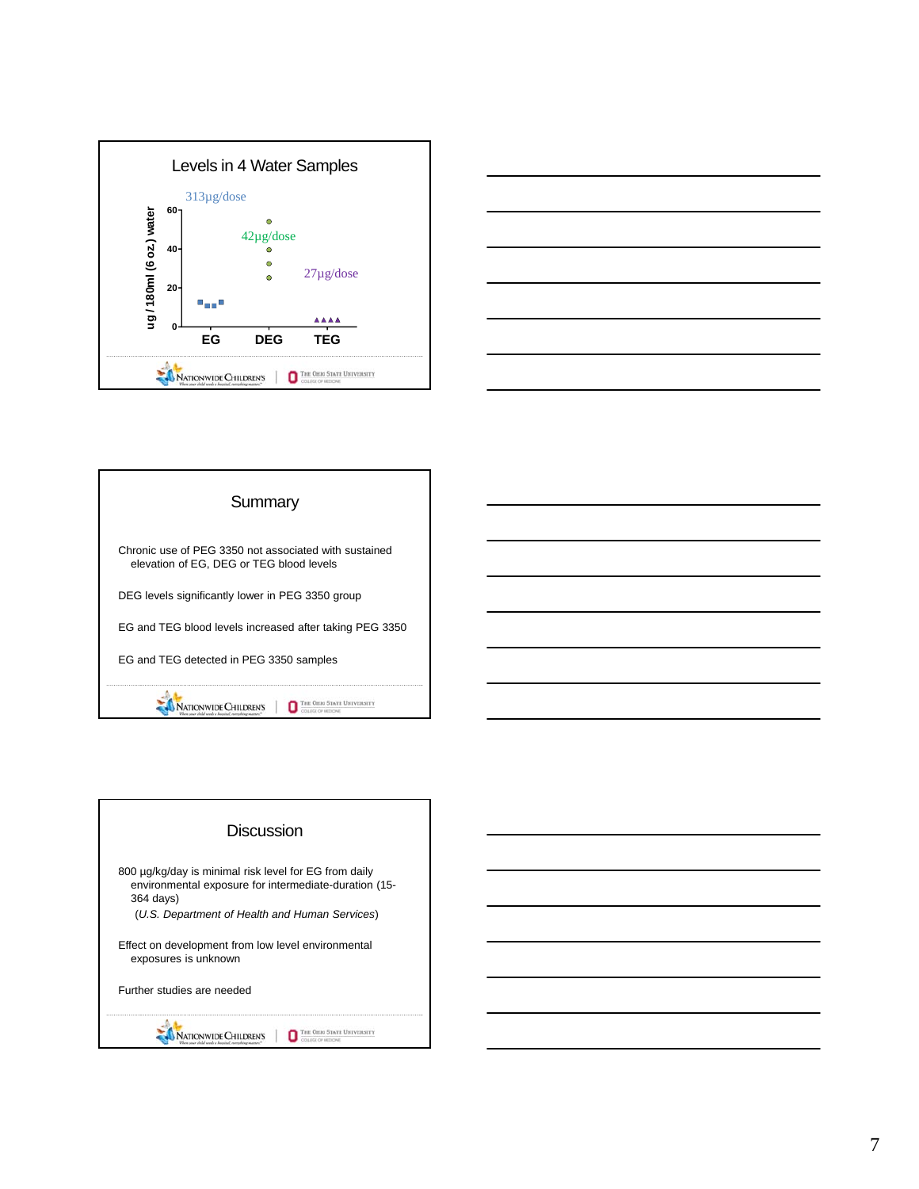